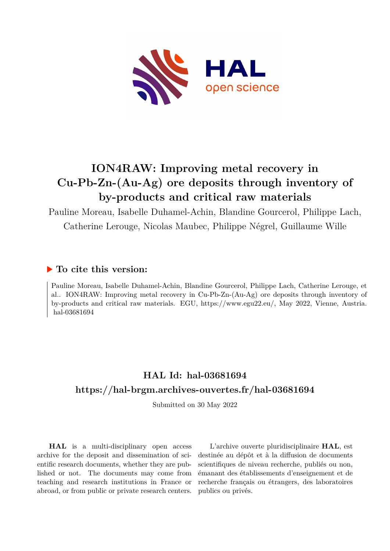

## **ION4RAW: Improving metal recovery in Cu-Pb-Zn-(Au-Ag) ore deposits through inventory of by-products and critical raw materials**

Pauline Moreau, Isabelle Duhamel-Achin, Blandine Gourcerol, Philippe Lach, Catherine Lerouge, Nicolas Maubec, Philippe Négrel, Guillaume Wille

## **To cite this version:**

Pauline Moreau, Isabelle Duhamel-Achin, Blandine Gourcerol, Philippe Lach, Catherine Lerouge, et al.. ION4RAW: Improving metal recovery in Cu-Pb-Zn-(Au-Ag) ore deposits through inventory of by-products and critical raw materials. EGU, https://www.egu22.eu/, May 2022, Vienne, Austria. hal-03681694

## **HAL Id: hal-03681694 <https://hal-brgm.archives-ouvertes.fr/hal-03681694>**

Submitted on 30 May 2022

**HAL** is a multi-disciplinary open access archive for the deposit and dissemination of scientific research documents, whether they are published or not. The documents may come from teaching and research institutions in France or abroad, or from public or private research centers.

L'archive ouverte pluridisciplinaire **HAL**, est destinée au dépôt et à la diffusion de documents scientifiques de niveau recherche, publiés ou non, émanant des établissements d'enseignement et de recherche français ou étrangers, des laboratoires publics ou privés.